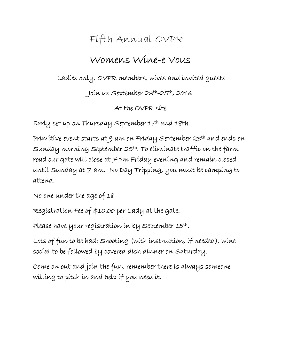## Fifth Annual OVPR

## Womens Wine-e Vous

Ladies only, OVPR members, wives and invited guests

Join us September 23th-25th, 2016

At the OVPR site

Early set up on Thursday September  $1\neq^{\text{th}}$  and 18th.

Primitive event starts at 9 am on Friday September 23th and ends on Sunday morning September 25th. To eliminate traffic on the farm road our gate will close at 7 pm Friday evening and remain closed until Sunday at  $\neq$  am. No Day Tripping, you must be camping to attend.

No one under the age of 18

Registration Fee of \$10.00 per Lady at the gate.

Please have your registration in by September 15th.

Lots of fun to be had: Shooting (with instruction, if needed), wine social to be followed by covered dish dinner on Saturday.

Come on out and join the fun, remember there is always someone willing to pitch in and help if you need it.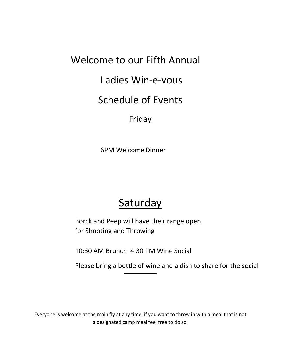#### Welcome to our Fifth Annual

### Ladies Win‐e‐vous

#### Schedule of Events

#### **Friday**

6PM Welcome Dinner

# **Saturday**

Borck and Peep will have their range open for Shooting and Throwing

10:30 AM Brunch 4:30 PM Wine Social

Please bring a bottle of wine and a dish to share for the social

Everyone is welcome at the main fly at any time, if you want to throw in with a meal that is not a designated camp meal feel free to do so.